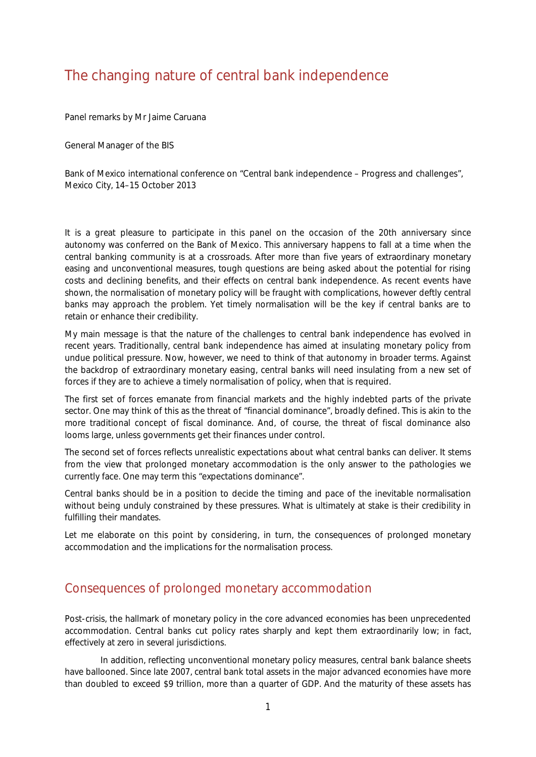# The changing nature of central bank independence

Panel remarks by Mr [Jaime Caruana](https://www.bis.org/author/jaime_caruana.htm)

General Manager of the BIS

Bank of Mexico international conference on "Central bank independence – Progress and challenges", Mexico City, 14–15 October 2013

It is a great pleasure to participate in this panel on the occasion of the 20th anniversary since autonomy was conferred on the Bank of Mexico. This anniversary happens to fall at a time when the central banking community is at a crossroads. After more than five years of extraordinary monetary easing and unconventional measures, tough questions are being asked about the potential for rising costs and declining benefits, and their effects on central bank independence. As recent events have shown, the normalisation of monetary policy will be fraught with complications, however deftly central banks may approach the problem. Yet timely normalisation will be the key if central banks are to retain or enhance their credibility.

My main message is that the nature of the challenges to central bank independence has evolved in recent years. Traditionally, central bank independence has aimed at insulating monetary policy from undue political pressure. Now, however, we need to think of that autonomy in broader terms. Against the backdrop of extraordinary monetary easing, central banks will need insulating from a new set of forces if they are to achieve a timely normalisation of policy, when that is required.

The first set of forces emanate from financial markets and the highly indebted parts of the private sector. One may think of this as the threat of "financial dominance", broadly defined. This is akin to the more traditional concept of fiscal dominance. And, of course, the threat of fiscal dominance also looms large, unless governments get their finances under control.

The second set of forces reflects unrealistic expectations about what central banks can deliver. It stems from the view that prolonged monetary accommodation is the only answer to the pathologies we currently face. One may term this "expectations dominance".

Central banks should be in a position to decide the timing and pace of the inevitable normalisation without being unduly constrained by these pressures. What is ultimately at stake is their credibility in fulfilling their mandates.

Let me elaborate on this point by considering, in turn, the consequences of prolonged monetary accommodation and the implications for the normalisation process.

## Consequences of prolonged monetary accommodation

Post-crisis, the hallmark of monetary policy in the core advanced economies has been unprecedented accommodation. Central banks cut policy rates sharply and kept them extraordinarily low; in fact, effectively at zero in several jurisdictions.

In addition, reflecting unconventional monetary policy measures, central bank balance sheets have ballooned. Since late 2007, central bank total assets in the major advanced economies have more than doubled to exceed \$9 trillion, more than a quarter of GDP. And the maturity of these assets has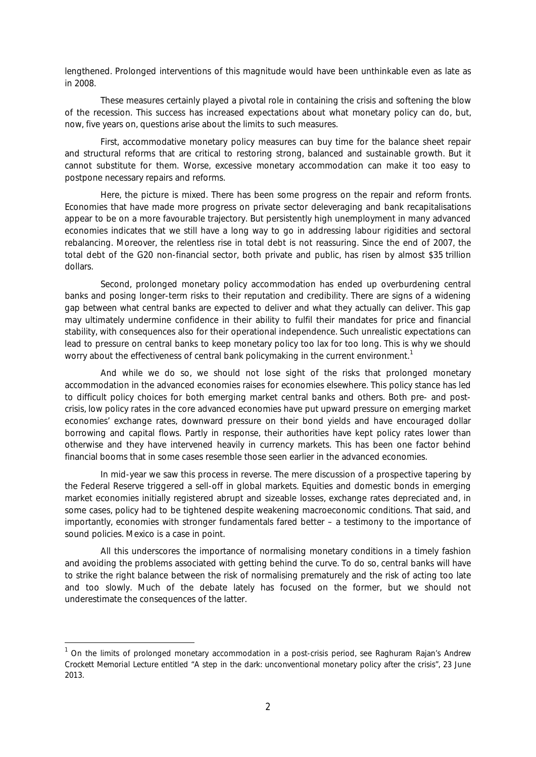lengthened. Prolonged interventions of this magnitude would have been unthinkable even as late as in 2008.

These measures certainly played a pivotal role in containing the crisis and softening the blow of the recession. This success has increased expectations about what monetary policy can do, but, now, five years on, questions arise about the limits to such measures.

First, accommodative monetary policy measures can buy time for the balance sheet repair and structural reforms that are critical to restoring strong, balanced and sustainable growth. But it cannot substitute for them. Worse, excessive monetary accommodation can make it too easy to postpone necessary repairs and reforms.

Here, the picture is mixed. There has been some progress on the repair and reform fronts. Economies that have made more progress on private sector deleveraging and bank recapitalisations appear to be on a more favourable trajectory. But persistently high unemployment in many advanced economies indicates that we still have a long way to go in addressing labour rigidities and sectoral rebalancing. Moreover, the relentless rise in total debt is not reassuring. Since the end of 2007, the total debt of the G20 non-financial sector, both private and public, has risen by almost \$35 trillion dollars.

Second, prolonged monetary policy accommodation has ended up overburdening central banks and posing longer-term risks to their reputation and credibility. There are signs of a widening gap between what central banks are expected to deliver and what they actually can deliver. This gap may ultimately undermine confidence in their ability to fulfil their mandates for price and financial stability, with consequences also for their operational independence. Such unrealistic expectations can lead to pressure on central banks to keep monetary policy too lax for too long. This is why we should worry about the effectiveness of central bank policymaking in the current environment.<sup>[1](#page-1-0)</sup>

And while we do so, we should not lose sight of the risks that prolonged monetary accommodation in the advanced economies raises for economies elsewhere. This policy stance has led to difficult policy choices for both emerging market central banks and others. Both pre- and postcrisis, low policy rates in the core advanced economies have put upward pressure on emerging market economies' exchange rates, downward pressure on their bond yields and have encouraged dollar borrowing and capital flows. Partly in response, their authorities have kept policy rates lower than otherwise and they have intervened heavily in currency markets. This has been one factor behind financial booms that in some cases resemble those seen earlier in the advanced economies.

In mid-year we saw this process in reverse. The mere discussion of a prospective tapering by the Federal Reserve triggered a sell-off in global markets. Equities and domestic bonds in emerging market economies initially registered abrupt and sizeable losses, exchange rates depreciated and, in some cases, policy had to be tightened despite weakening macroeconomic conditions. That said, and importantly, economies with stronger fundamentals fared better – a testimony to the importance of sound policies. Mexico is a case in point.

All this underscores the importance of normalising monetary conditions in a timely fashion and avoiding the problems associated with getting behind the curve. To do so, central banks will have to strike the right balance between the risk of normalising prematurely and the risk of acting too late and too slowly. Much of the debate lately has focused on the former, but we should not underestimate the consequences of the latter.

<span id="page-1-0"></span> <sup>1</sup> On the limits of prolonged monetary accommodation in a post-crisis period, see Raghuram Rajan's *Andrew Crockett Memorial Lecture* entitled "A step in the dark: unconventional monetary policy after the crisis", 23 June 2013.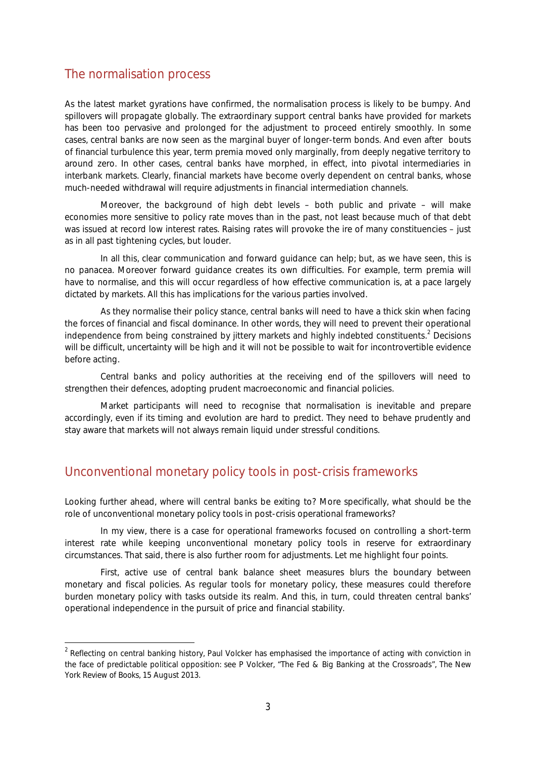### The normalisation process

As the latest market gyrations have confirmed, the normalisation process is likely to be bumpy. And spillovers will propagate globally. The extraordinary support central banks have provided for markets has been too pervasive and prolonged for the adjustment to proceed entirely smoothly. In some cases, central banks are now seen as the marginal buyer of longer-term bonds. And even after bouts of financial turbulence this year, term premia moved only marginally, from deeply negative territory to around zero. In other cases, central banks have morphed, in effect, into pivotal intermediaries in interbank markets. Clearly, financial markets have become overly dependent on central banks, whose much-needed withdrawal will require adjustments in financial intermediation channels.

Moreover, the background of high debt levels – both public and private – will make economies more sensitive to policy rate moves than in the past, not least because much of that debt was issued at record low interest rates. Raising rates will provoke the ire of many constituencies – just as in all past tightening cycles, but louder.

In all this, clear communication and forward guidance can help; but, as we have seen, this is no panacea. Moreover forward guidance creates its own difficulties. For example, term premia will have to normalise, and this will occur regardless of how effective communication is, at a pace largely dictated by markets. All this has implications for the various parties involved.

As they normalise their policy stance, central banks will need to have a thick skin when facing the forces of financial and fiscal dominance. In other words, they will need to prevent their operational independence from being constrained by jittery markets and highly indebted constituents.<sup>[2](#page-2-0)</sup> Decisions will be difficult, uncertainty will be high and it will not be possible to wait for incontrovertible evidence before acting.

Central banks and policy authorities at the receiving end of the spillovers will need to strengthen their defences, adopting prudent macroeconomic and financial policies.

Market participants will need to recognise that normalisation is inevitable and prepare accordingly, even if its timing and evolution are hard to predict. They need to behave prudently and stay aware that markets will not always remain liquid under stressful conditions.

## Unconventional monetary policy tools in post-crisis frameworks

Looking further ahead, where will central banks be exiting to? More specifically, what should be the role of unconventional monetary policy tools in post-crisis operational frameworks?

In my view, there is a case for operational frameworks focused on controlling a short-term interest rate while keeping unconventional monetary policy tools in reserve for extraordinary circumstances. That said, there is also further room for adjustments. Let me highlight four points.

First, active use of central bank balance sheet measures blurs the boundary between monetary and fiscal policies. As regular tools for monetary policy, these measures could therefore burden monetary policy with tasks outside its realm. And this, in turn, could threaten central banks' operational independence in the pursuit of price and financial stability.

<span id="page-2-0"></span> $2$  Reflecting on central banking history, Paul Volcker has emphasised the importance of acting with conviction in the face of predictable political opposition: see P Volcker, "The Fed & Big Banking at the Crossroads", *The New York Review of Books*, 15 August 2013.